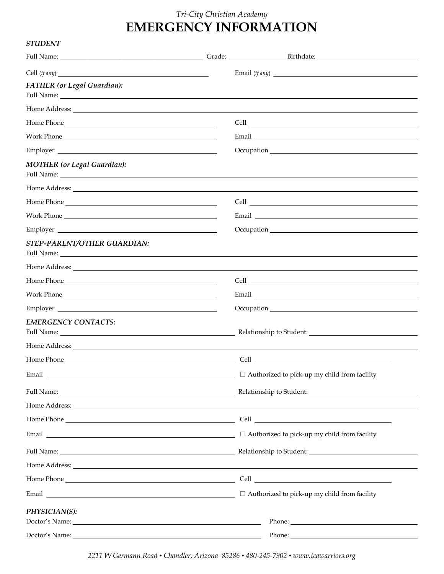## *Tri-City Christian Academy*  **EMERGENCY INFORMATION**

## *STUDENT*

|                                                                                                                                                                                                                                                |  | Email (if any)                                                                                                                                                                                                                      |  |  |
|------------------------------------------------------------------------------------------------------------------------------------------------------------------------------------------------------------------------------------------------|--|-------------------------------------------------------------------------------------------------------------------------------------------------------------------------------------------------------------------------------------|--|--|
| <b>FATHER</b> (or Legal Guardian):                                                                                                                                                                                                             |  |                                                                                                                                                                                                                                     |  |  |
|                                                                                                                                                                                                                                                |  |                                                                                                                                                                                                                                     |  |  |
|                                                                                                                                                                                                                                                |  |                                                                                                                                                                                                                                     |  |  |
|                                                                                                                                                                                                                                                |  |                                                                                                                                                                                                                                     |  |  |
| Employer                                                                                                                                                                                                                                       |  |                                                                                                                                                                                                                                     |  |  |
| <b>MOTHER</b> (or Legal Guardian):                                                                                                                                                                                                             |  |                                                                                                                                                                                                                                     |  |  |
| Home Address: <u>New York: Address: New York: New York: New York: New York: New York: New York: New York: New York: New York: New York: New York: New York: New York: New York: New York: New York: New York: New York: New York</u>           |  |                                                                                                                                                                                                                                     |  |  |
|                                                                                                                                                                                                                                                |  |                                                                                                                                                                                                                                     |  |  |
|                                                                                                                                                                                                                                                |  | Email Land and the contract of the contract of the contract of the contract of the contract of the contract of the contract of the contract of the contract of the contract of the contract of the contract of the contract of      |  |  |
|                                                                                                                                                                                                                                                |  |                                                                                                                                                                                                                                     |  |  |
| STEP-PARENT/OTHER GUARDIAN:                                                                                                                                                                                                                    |  |                                                                                                                                                                                                                                     |  |  |
| Home Address: <u>the accessive of the set of the set of the set of the set of the set of the set of the set of the set of the set of the set of the set of the set of the set of the set of the set of the set of the set of the</u>           |  |                                                                                                                                                                                                                                     |  |  |
|                                                                                                                                                                                                                                                |  |                                                                                                                                                                                                                                     |  |  |
| Work Phone 2008 and 2008 and 2008 and 2008 and 2008 and 2008 and 2008 and 2008 and 2008 and 2008 and 2008 and 2008 and 2008 and 2008 and 2008 and 2008 and 2008 and 2008 and 2008 and 2008 and 2008 and 2008 and 2008 and 2008                 |  | Email Land and the contract of the contract of the contract of the contract of the contract of the contract of the contract of the contract of the contract of the contract of the contract of the contract of the contract of      |  |  |
| Employer                                                                                                                                                                                                                                       |  |                                                                                                                                                                                                                                     |  |  |
| <b>EMERGENCY CONTACTS:</b><br>Full Name: 1988 Commission Commission Commission Commission Commission Commission Commission                                                                                                                     |  | Relationship to Student: New York Change and Student:                                                                                                                                                                               |  |  |
| Home Address: <u>the accession of</u> the second state of the second state of the second state of the second state of the second state of the second state of the second state of the second state of the second state of the secon            |  |                                                                                                                                                                                                                                     |  |  |
|                                                                                                                                                                                                                                                |  |                                                                                                                                                                                                                                     |  |  |
| Email and the contract of the contract of the contract of the contract of the contract of the contract of the contract of the contract of the contract of the contract of the contract of the contract of the contract of the                  |  | $\Box$ Authorized to pick-up my child from facility                                                                                                                                                                                 |  |  |
|                                                                                                                                                                                                                                                |  |                                                                                                                                                                                                                                     |  |  |
|                                                                                                                                                                                                                                                |  |                                                                                                                                                                                                                                     |  |  |
|                                                                                                                                                                                                                                                |  |                                                                                                                                                                                                                                     |  |  |
|                                                                                                                                                                                                                                                |  | Email $\Box$ Authorized to pick-up my child from facility                                                                                                                                                                           |  |  |
|                                                                                                                                                                                                                                                |  |                                                                                                                                                                                                                                     |  |  |
|                                                                                                                                                                                                                                                |  | Home Address: <u>the acceptance</u> of the second second second second second second second second second second second second second second second second second second second second second second second second second second se |  |  |
|                                                                                                                                                                                                                                                |  |                                                                                                                                                                                                                                     |  |  |
|                                                                                                                                                                                                                                                |  | $\Box$ Authorized to pick-up my child from facility                                                                                                                                                                                 |  |  |
| PHYSICIAN(S):<br>Doctor's Name: Note and the set of the set of the set of the set of the set of the set of the set of the set of the set of the set of the set of the set of the set of the set of the set of the set of the set of the set of |  |                                                                                                                                                                                                                                     |  |  |
|                                                                                                                                                                                                                                                |  |                                                                                                                                                                                                                                     |  |  |

*2211 W Germann Road • Chandler, Arizona 85286 • 480-245-7902 • www.tcawarriors.org*